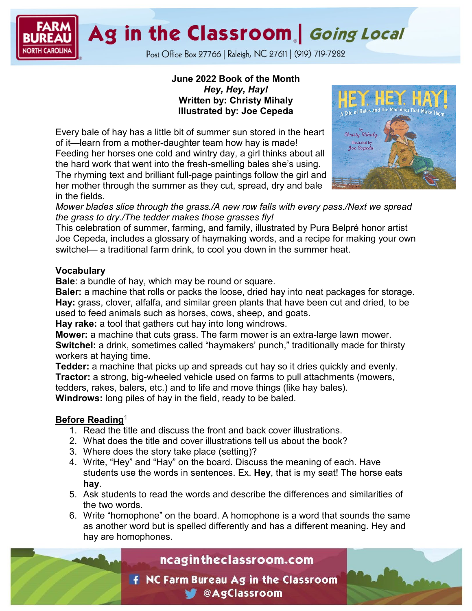Ag in the Classroom | Going Local

Post Office Box 27766 | Raleigh, NC 27611 | (919) 719-7282

## **June 2022 Book of the Month** *Hey, Hey, Hay!* **Written by: Christy Mihaly Illustrated by: Joe Cepeda**

Every bale of hay has a little bit of summer sun stored in the heart of it—learn from a mother-daughter team how hay is made! Feeding her horses one cold and wintry day, a girl thinks about all the hard work that went into the fresh-smelling bales she's using. The rhyming text and brilliant full-page paintings follow the girl and her mother through the summer as they cut, spread, dry and bale in the fields.



*Mower blades slice through the grass./A new row falls with every pass./Next we spread the grass to dry./The tedder makes those grasses fly!*

This celebration of summer, farming, and family, illustrated by Pura Belpré honor artist Joe Cepeda, includes a glossary of haymaking words, and a recipe for making your own switchel— a traditional farm drink, to cool you down in the summer heat.

## **Vocabulary**

**Bale**: a bundle of hay, which may be round or square.

**Baler:** a machine that rolls or packs the loose, dried hay into neat packages for storage. **Hay:** grass, clover, alfalfa, and similar green plants that have been cut and dried, to be used to feed animals such as horses, cows, sheep, and goats.

**Hay rake:** a tool that gathers cut hay into long windrows.

**Mower:** a machine that cuts grass. The farm mower is an extra-large lawn mower. **Switchel:** a drink, sometimes called "haymakers' punch," traditionally made for thirsty workers at haying time.

**Tedder:** a machine that picks up and spreads cut hay so it dries quickly and evenly. **Tractor:** a strong, big-wheeled vehicle used on farms to pull attachments (mowers, tedders, rakes, balers, etc.) and to life and move things (like hay bales). **Windrows:** long piles of hay in the field, ready to be baled.

## **Before Reading**<sup>1</sup>

- 1. Read the title and discuss the front and back cover illustrations.
- 2. What does the title and cover illustrations tell us about the book?
- 3. Where does the story take place (setting)?
- 4. Write, "Hey" and "Hay" on the board. Discuss the meaning of each. Have students use the words in sentences. Ex. **Hey**, that is my seat! The horse eats **hay**.
- 5. Ask students to read the words and describe the differences and similarities of the two words.
- 6. Write "homophone" on the board. A homophone is a word that sounds the same as another word but is spelled differently and has a different meaning. Hey and hay are homophones.

# ncagintheclassroom.com

**F** NC Farm Bureau Ag in the Classroom **CAgClassroom**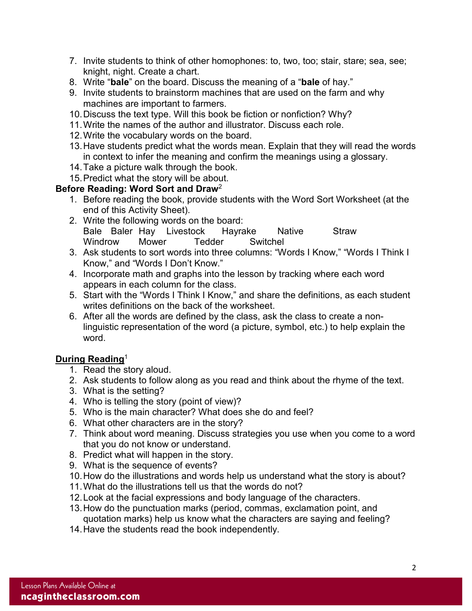- 7. Invite students to think of other homophones: to, two, too; stair, stare; sea, see; knight, night. Create a chart.
- 8. Write "**bale**" on the board. Discuss the meaning of a "**bale** of hay."
- 9. Invite students to brainstorm machines that are used on the farm and why machines are important to farmers.
- 10.Discuss the text type. Will this book be fiction or nonfiction? Why?
- 11.Write the names of the author and illustrator. Discuss each role.
- 12.Write the vocabulary words on the board.
- 13.Have students predict what the words mean. Explain that they will read the words in context to infer the meaning and confirm the meanings using a glossary.
- 14.Take a picture walk through the book.
- 15.Predict what the story will be about.

## **Before Reading: Word Sort and Draw**<sup>2</sup>

- 1. Before reading the book, provide students with the Word Sort Worksheet (at the end of this Activity Sheet).
- 2. Write the following words on the board: Bale Baler Hay Livestock Hayrake Native Straw Windrow Mower Tedder Switchel
- 3. Ask students to sort words into three columns: "Words I Know," "Words I Think I Know," and "Words I Don't Know."
- 4. Incorporate math and graphs into the lesson by tracking where each word appears in each column for the class.
- 5. Start with the "Words I Think I Know," and share the definitions, as each student writes definitions on the back of the worksheet.
- 6. After all the words are defined by the class, ask the class to create a nonlinguistic representation of the word (a picture, symbol, etc.) to help explain the word.

## **During Reading**<sup>1</sup>

- 1. Read the story aloud.
- 2. Ask students to follow along as you read and think about the rhyme of the text.
- 3. What is the setting?
- 4. Who is telling the story (point of view)?
- 5. Who is the main character? What does she do and feel?
- 6. What other characters are in the story?
- 7. Think about word meaning. Discuss strategies you use when you come to a word that you do not know or understand.
- 8. Predict what will happen in the story.
- 9. What is the sequence of events?
- 10.How do the illustrations and words help us understand what the story is about?
- 11.What do the illustrations tell us that the words do not?
- 12.Look at the facial expressions and body language of the characters.
- 13.How do the punctuation marks (period, commas, exclamation point, and quotation marks) help us know what the characters are saying and feeling?
- 14.Have the students read the book independently.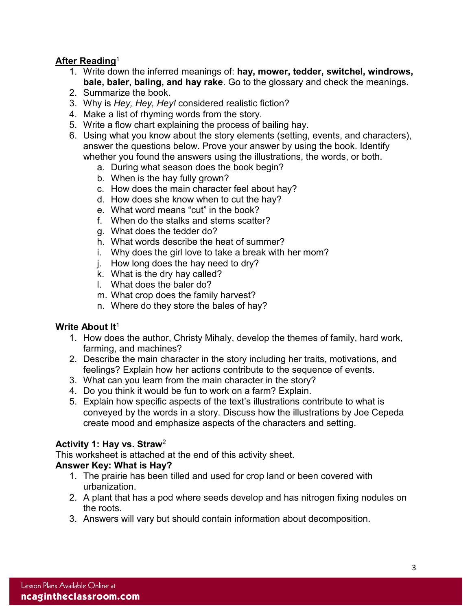## **After Reading**<sup>1</sup>

- 1. Write down the inferred meanings of: **hay, mower, tedder, switchel, windrows, bale, baler, baling, and hay rake**. Go to the glossary and check the meanings.
- 2. Summarize the book.
- 3. Why is *Hey, Hey, Hey!* considered realistic fiction?
- 4. Make a list of rhyming words from the story.
- 5. Write a flow chart explaining the process of bailing hay.
- 6. Using what you know about the story elements (setting, events, and characters), answer the questions below. Prove your answer by using the book. Identify whether you found the answers using the illustrations, the words, or both.
	- a. During what season does the book begin?
	- b. When is the hay fully grown?
	- c. How does the main character feel about hay?
	- d. How does she know when to cut the hay?
	- e. What word means "cut" in the book?
	- f. When do the stalks and stems scatter?
	- g. What does the tedder do?
	- h. What words describe the heat of summer?
	- i. Why does the girl love to take a break with her mom?
	- j. How long does the hay need to dry?
	- k. What is the dry hay called?
	- l. What does the baler do?
	- m. What crop does the family harvest?
	- n. Where do they store the bales of hay?

## **Write About It**<sup>1</sup>

- 1. How does the author, Christy Mihaly, develop the themes of family, hard work, farming, and machines?
- 2. Describe the main character in the story including her traits, motivations, and feelings? Explain how her actions contribute to the sequence of events.
- 3. What can you learn from the main character in the story?
- 4. Do you think it would be fun to work on a farm? Explain.
- 5. Explain how specific aspects of the text's illustrations contribute to what is conveyed by the words in a story. Discuss how the illustrations by Joe Cepeda create mood and emphasize aspects of the characters and setting.

## **Activity 1: Hay vs. Straw**<sup>2</sup>

This worksheet is attached at the end of this activity sheet.

## **Answer Key: What is Hay?**

- 1. The prairie has been tilled and used for crop land or been covered with urbanization.
- 2. A plant that has a pod where seeds develop and has nitrogen fixing nodules on the roots.
- 3. Answers will vary but should contain information about decomposition.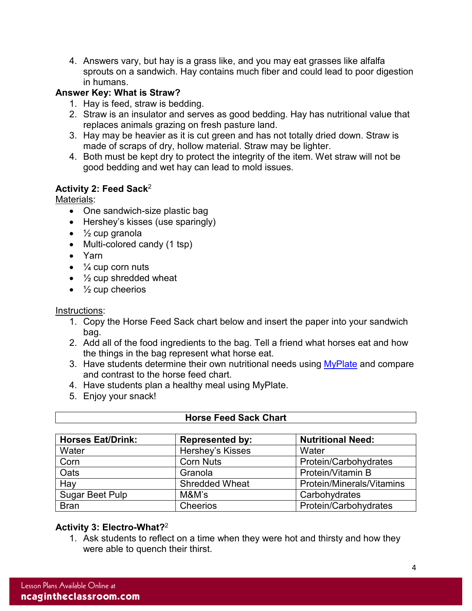4. Answers vary, but hay is a grass like, and you may eat grasses like alfalfa sprouts on a sandwich. Hay contains much fiber and could lead to poor digestion in humans.

## **Answer Key: What is Straw?**

- 1. Hay is feed, straw is bedding.
- 2. Straw is an insulator and serves as good bedding. Hay has nutritional value that replaces animals grazing on fresh pasture land.
- 3. Hay may be heavier as it is cut green and has not totally dried down. Straw is made of scraps of dry, hollow material. Straw may be lighter.
- 4. Both must be kept dry to protect the integrity of the item. Wet straw will not be good bedding and wet hay can lead to mold issues.

## **Activity 2: Feed Sack**<sup>2</sup>

Materials:

- One sandwich-size plastic bag
- Hershey's kisses (use sparingly)
- $\bullet\quad$  1/<sub>2</sub> cup granola
- Multi-colored candy (1 tsp)
- Yarn
- $\bullet$   $\frac{1}{4}$  cup corn nuts
- $\bullet$   $\frac{1}{2}$  cup shredded wheat
- $\bullet\quad$  1/<sub>2</sub> cup cheerios

## Instructions:

- 1. Copy the Horse Feed Sack chart below and insert the paper into your sandwich bag.
- 2. Add all of the food ingredients to the bag. Tell a friend what horses eat and how the things in the bag represent what horse eat.
- 3. Have students determine their own nutritional needs using [MyPlate](https://www.myplate.gov/) and compare and contrast to the horse feed chart.
- 4. Have students plan a healthy meal using MyPlate.
- 5. Enjoy your snack!

| <b>Horses Eat/Drink:</b> | <b>Represented by:</b> | <b>Nutritional Need:</b>  |
|--------------------------|------------------------|---------------------------|
| Water                    | Hershey's Kisses       | Water                     |
| Corn                     | <b>Corn Nuts</b>       | Protein/Carbohydrates     |
| Oats                     | Granola                | Protein/Vitamin B         |
| Hay                      | <b>Shredded Wheat</b>  | Protein/Minerals/Vitamins |
| Sugar Beet Pulp          | M&M's                  | Carbohydrates             |
| <b>Bran</b>              | Cheerios               | Protein/Carbohydrates     |

## **Horse Feed Sack Chart**

## **Activity 3: Electro-What?**<sup>2</sup>

1. Ask students to reflect on a time when they were hot and thirsty and how they were able to quench their thirst.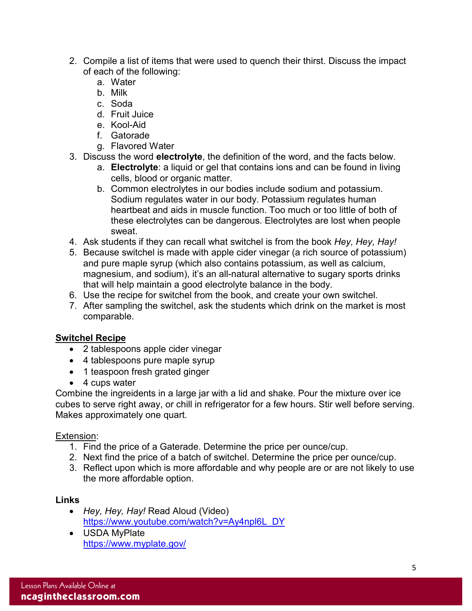- 2. Compile a list of items that were used to quench their thirst. Discuss the impact of each of the following:
	- a. Water
	- b. Milk
	- c. Soda
	- d. Fruit Juice
	- e. Kool-Aid
	- f. Gatorade
	- g. Flavored Water
- 3. Discuss the word **electrolyte**, the definition of the word, and the facts below.
	- a. **Electrolyte**: a liquid or gel that contains ions and can be found in living cells, blood or organic matter.
	- b. Common electrolytes in our bodies include sodium and potassium. Sodium regulates water in our body. Potassium regulates human heartbeat and aids in muscle function. Too much or too little of both of these electrolytes can be dangerous. Electrolytes are lost when people sweat.
- 4. Ask students if they can recall what switchel is from the book *Hey, Hey, Hay!*
- 5. Because switchel is made with apple cider vinegar (a rich source of potassium) and pure maple syrup (which also contains potassium, as well as calcium, magnesium, and sodium), it's an all-natural alternative to sugary sports drinks that will help maintain a good electrolyte balance in the body.
- 6. Use the recipe for switchel from the book, and create your own switchel.
- 7. After sampling the switchel, ask the students which drink on the market is most comparable.

## **Switchel Recipe**

- 2 tablespoons apple cider vinegar
- 4 tablespoons pure maple syrup
- 1 teaspoon fresh grated ginger
- 4 cups water

Combine the ingreidents in a large jar with a lid and shake. Pour the mixture over ice cubes to serve right away, or chill in refrigerator for a few hours. Stir well before serving. Makes approximately one quart.

## Extension:

- 1. Find the price of a Gaterade. Determine the price per ounce/cup.
- 2. Next find the price of a batch of switchel. Determine the price per ounce/cup.
- 3. Reflect upon which is more affordable and why people are or are not likely to use the more affordable option.

## **Links**

- *Hey, Hey, Hay!* Read Aloud (Video) [https://www.youtube.com/watch?v=Ay4npl6L\\_DY](https://www.youtube.com/watch?v=Ay4npl6L_DY)
- USDA MyPlate <https://www.myplate.gov/>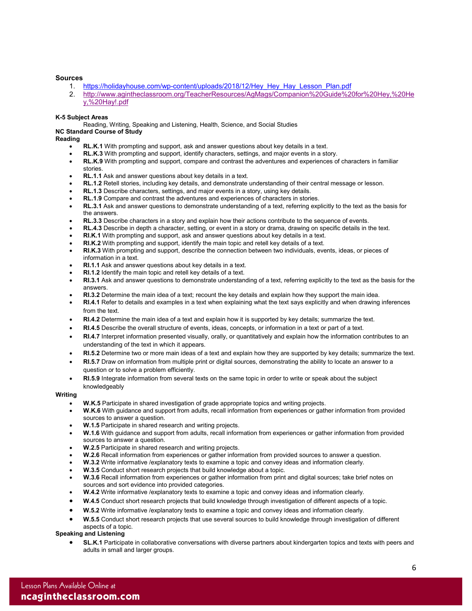### **Sources**

- 1. [https://holidayhouse.com/wp-content/uploads/2018/12/Hey\\_Hey\\_Hay\\_Lesson\\_Plan.pdf](https://holidayhouse.com/wp-content/uploads/2018/12/Hey_Hey_Hay_Lesson_Plan.pdf)
- 2. [http://www.agintheclassroom.org/TeacherResources/AgMags/Companion%20Guide%20for%20Hey,%20He](http://www.agintheclassroom.org/TeacherResources/AgMags/Companion%20Guide%20for%20Hey,%20Hey,%20Hay!.pdf) [y,%20Hay!.pdf](http://www.agintheclassroom.org/TeacherResources/AgMags/Companion%20Guide%20for%20Hey,%20Hey,%20Hay!.pdf)

### **K-5 Subject Areas**

Reading, Writing, Speaking and Listening, Health, Science, and Social Studies

### **NC Standard Course of Study**

**Reading**

- **RL.K.1** With prompting and support, ask and answer questions about key details in a text.
- **RL.K.3** With prompting and support, identify characters, settings, and major events in a story.
- **RL.K.9** With prompting and support, compare and contrast the adventures and experiences of characters in familiar stories.
- **RL.1.1** Ask and answer questions about key details in a text.
- **RL.1.2** Retell stories, including key details, and demonstrate understanding of their central message or lesson.
- **RL.1.3** Describe characters, settings, and major events in a story, using key details.
- **RL.1.9** Compare and contrast the adventures and experiences of characters in stories.
- **RL.3.1** Ask and answer questions to demonstrate understanding of a text, referring explicitly to the text as the basis for the answers.
- **RL.3.3** Describe characters in a story and explain how their actions contribute to the sequence of events.
- **RL.4.3** Describe in depth a character, setting, or event in a story or drama, drawing on specific details in the text.
- **RI.K.1** With prompting and support, ask and answer questions about key details in a text.
- **RI.K.2** With prompting and support, identify the main topic and retell key details of a text.
- **RI.K.3** With prompting and support, describe the connection between two individuals, events, ideas, or pieces of information in a text.
- **RI.1.1** Ask and answer questions about key details in a text.
- **RI.1.2** Identify the main topic and retell key details of a text.
- **RI.3.1** Ask and answer questions to demonstrate understanding of a text, referring explicitly to the text as the basis for the answers.
- **RI.3.2** Determine the main idea of a text; recount the key details and explain how they support the main idea.
- **RI.4.1** Refer to details and examples in a text when explaining what the text says explicitly and when drawing inferences from the text.
- **RI.4.2** Determine the main idea of a text and explain how it is supported by key details; summarize the text.
- **RI.4.5** Describe the overall structure of events, ideas, concepts, or information in a text or part of a text.
- **RI.4.7** Interpret information presented visually, orally, or quantitatively and explain how the information contributes to an understanding of the text in which it appears.
- **RI.5.2** Determine two or more main ideas of a text and explain how they are supported by key details; summarize the text.
- **RI.5.7** Draw on information from multiple print or digital sources, demonstrating the ability to locate an answer to a question or to solve a problem efficiently.
- **RI.5.9** Integrate information from several texts on the same topic in order to write or speak about the subject knowledgeably

### **Writing**

- **W.K.5** Participate in shared investigation of grade appropriate topics and writing projects.
- **W.K.6** With guidance and support from adults, recall information from experiences or gather information from provided sources to answer a question.
- **W.1.5** Participate in shared research and writing projects.
- **W.1.6** With guidance and support from adults, recall information from experiences or gather information from provided sources to answer a question.
- **W.2.5** Participate in shared research and writing projects.
- **W.2.6** Recall information from experiences or gather information from provided sources to answer a question.
- **W.3.2** Write informative /explanatory texts to examine a topic and convey ideas and information clearly.
- **W.3.5** Conduct short research projects that build knowledge about a topic.
- **W.3.6** Recall information from experiences or gather information from print and digital sources; take brief notes on sources and sort evidence into provided categories.
- **W.4.2** Write informative /explanatory texts to examine a topic and convey ideas and information clearly.
- **W.4.5** Conduct short research projects that build knowledge through investigation of different aspects of a topic.
- **W.5.2** Write informative /explanatory texts to examine a topic and convey ideas and information clearly.
- **W.5.5** Conduct short research projects that use several sources to build knowledge through investigation of different aspects of a topic.

### **Speaking and Listening**

• **SL.K.1** Participate in collaborative conversations with diverse partners about kindergarten topics and texts with peers and adults in small and larger groups.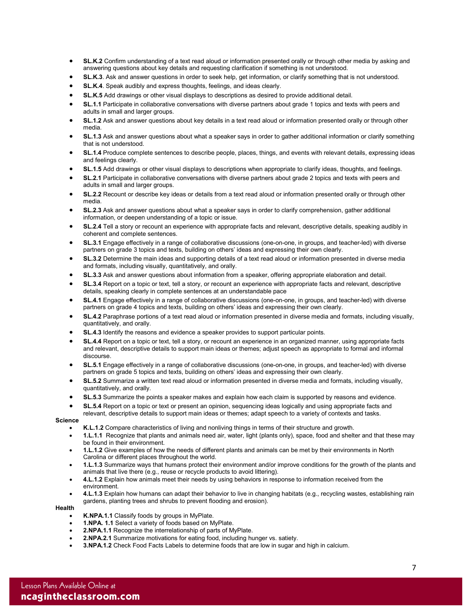- **SL.K.2** Confirm understanding of a text read aloud or information presented orally or through other media by asking and answering questions about key details and requesting clarification if something is not understood.
- **SL.K.3**. Ask and answer questions in order to seek help, get information, or clarify something that is not understood.
- **SL.K.4**. Speak audibly and express thoughts, feelings, and ideas clearly.
- **SL.K.5** Add drawings or other visual displays to descriptions as desired to provide additional detail.
- **SL.1.1** Participate in collaborative conversations with diverse partners about grade 1 topics and texts with peers and adults in small and larger groups.
- **SL.1.2** Ask and answer questions about key details in a text read aloud or information presented orally or through other media.
- **SL.1.3** Ask and answer questions about what a speaker says in order to gather additional information or clarify something that is not understood.
- **SL.1.4** Produce complete sentences to describe people, places, things, and events with relevant details, expressing ideas and feelings clearly.
- **SL.1.5** Add drawings or other visual displays to descriptions when appropriate to clarify ideas, thoughts, and feelings.
- **SL.2.1** Participate in collaborative conversations with diverse partners about grade 2 topics and texts with peers and adults in small and larger groups.
- **SL.2.2** Recount or describe key ideas or details from a text read aloud or information presented orally or through other media.
- **SL.2.3** Ask and answer questions about what a speaker says in order to clarify comprehension, gather additional information, or deepen understanding of a topic or issue.
- **SL.2.4** Tell a story or recount an experience with appropriate facts and relevant, descriptive details, speaking audibly in coherent and complete sentences.
- **SL.3.1** Engage effectively in a range of collaborative discussions (one-on-one, in groups, and teacher-led) with diverse partners on grade 3 topics and texts, building on others' ideas and expressing their own clearly.
- **SL.3.2** Determine the main ideas and supporting details of a text read aloud or information presented in diverse media and formats, including visually, quantitatively, and orally.
- **SL.3.3** Ask and answer questions about information from a speaker, offering appropriate elaboration and detail.
- **SL.3.4** Report on a topic or text, tell a story, or recount an experience with appropriate facts and relevant, descriptive details, speaking clearly in complete sentences at an understandable pace
- **SL.4.1** Engage effectively in a range of collaborative discussions (one-on-one, in groups, and teacher-led) with diverse partners on grade 4 topics and texts, building on others' ideas and expressing their own clearly.
- **SL.4.2** Paraphrase portions of a text read aloud or information presented in diverse media and formats, including visually, quantitatively, and orally.
- **SL.4.3** Identify the reasons and evidence a speaker provides to support particular points.
- **SL.4.4** Report on a topic or text, tell a story, or recount an experience in an organized manner, using appropriate facts and relevant, descriptive details to support main ideas or themes; adjust speech as appropriate to formal and informal discourse.
- **SL.5.1** Engage effectively in a range of collaborative discussions (one-on-one, in groups, and teacher-led) with diverse partners on grade 5 topics and texts, building on others' ideas and expressing their own clearly.
- **SL.5.2** Summarize a written text read aloud or information presented in diverse media and formats, including visually, quantitatively, and orally.
- **SL.5.3** Summarize the points a speaker makes and explain how each claim is supported by reasons and evidence.
- **SL.5.4** Report on a topic or text or present an opinion, sequencing ideas logically and using appropriate facts and
- relevant, descriptive details to support main ideas or themes; adapt speech to a variety of contexts and tasks.
- **Science**
	- **K.L.1.2** Compare characteristics of living and nonliving things in terms of their structure and growth.
	- **1.L.1.1** Recognize that plants and animals need air, water, light (plants only), space, food and shelter and that these may be found in their environment.
	- **1.L.1.2** Give examples of how the needs of different plants and animals can be met by their environments in North Carolina or different places throughout the world.
	- **1.L.1.3** Summarize ways that humans protect their environment and/or improve conditions for the growth of the plants and animals that live there (e.g., reuse or recycle products to avoid littering).
	- **4.L.1.2** Explain how animals meet their needs by using behaviors in response to information received from the environment.
	- **4.L.1.3** Explain how humans can adapt their behavior to live in changing habitats (e.g., recycling wastes, establishing rain gardens, planting trees and shrubs to prevent flooding and erosion).

### **Health**

- **K.NPA.1.1** Classify foods by groups in MyPlate.
- **1.NPA. 1.1** Select a variety of foods based on MyPlate.
- **2.NPA.1.1** Recognize the interrelationship of parts of MyPlate.
- **2.NPA.2.1** Summarize motivations for eating food, including hunger vs. satiety.
- **3.NPA.1.2** Check Food Facts Labels to determine foods that are low in sugar and high in calcium.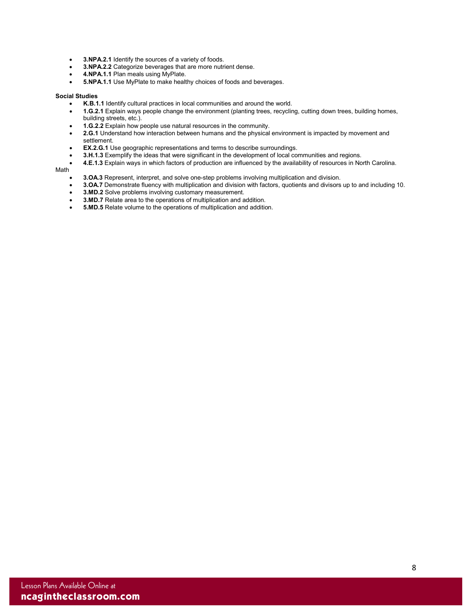- **3.NPA.2.1** Identify the sources of a variety of foods.<br>• **3.NPA.2.2** Categorize beverages that are more putri
- **3.NPA.2.2** Categorize beverages that are more nutrient dense.
- **4.NPA.1.1** Plan meals using MyPlate.
- **5.NPA.1.1** Use MyPlate to make healthy choices of foods and beverages.

### **Social Studies**

- **K.B.1.1** Identify cultural practices in local communities and around the world.
- **1.G.2.1** Explain ways people change the environment (planting trees, recycling, cutting down trees, building homes, building streets, etc.).
- **1.G.2.2** Explain how people use natural resources in the community.
- **2.G.1** Understand how interaction between humans and the physical environment is impacted by movement and settlement.
- **EX.2.G.1** Use geographic representations and terms to describe surroundings.
- **3.H.1.3** Exemplify the ideas that were significant in the development of local communities and regions.
- **4.E.1.3** Explain ways in which factors of production are influenced by the availability of resources in North Carolina.

#### Math

- **3.OA.3** Represent, interpret, and solve one-step problems involving multiplication and division.
- **3.OA.7** Demonstrate fluency with multiplication and division with factors, quotients and divisors up to and including 10.
- **3.MD.2** Solve problems involving customary measurement.
- **3.MD.7** Relate area to the operations of multiplication and addition.
- **5.MD.5** Relate volume to the operations of multiplication and addition.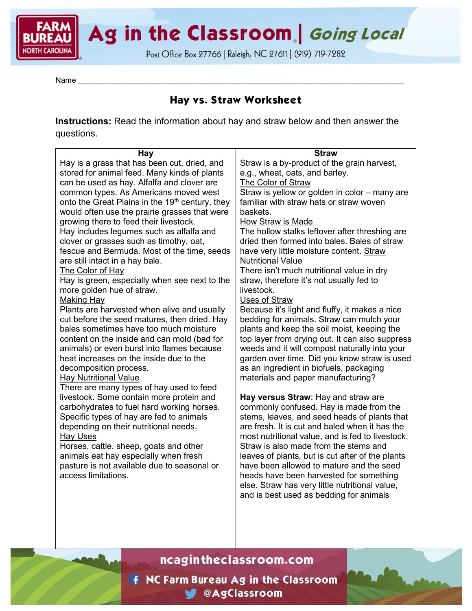Ag in the Classroom. Going Local

Post Office Box 27766 | Raleigh, NC 27611 | (919) 719-7282

Name \_\_\_\_\_\_\_\_\_\_\_\_\_\_\_\_\_\_\_\_\_\_\_\_\_\_\_\_\_\_\_\_\_\_\_\_\_\_\_\_\_\_\_\_\_\_\_\_\_\_\_\_\_\_\_\_\_\_\_\_\_\_\_\_\_\_\_\_\_\_\_\_\_\_\_\_

# **Hay vs. Straw Worksheet**

**Instructions:** Read the information about hay and straw below and then answer the questions.

| <b>Hay</b>                                                  | <b>Straw</b>                                     |
|-------------------------------------------------------------|--------------------------------------------------|
| Hay is a grass that has been cut, dried, and                | Straw is a by-product of the grain harvest,      |
| stored for animal feed. Many kinds of plants                | e.g., wheat, oats, and barley.                   |
| can be used as hay. Alfalfa and clover are                  | <b>The Color of Straw</b>                        |
| common types. As Americans moved west                       | Straw is yellow or golden in color - many are    |
| onto the Great Plains in the 19 <sup>th</sup> century, they | familiar with straw hats or straw woven          |
| would often use the prairie grasses that were               | baskets.                                         |
| growing there to feed their livestock.                      | How Straw is Made                                |
| Hay includes legumes such as alfalfa and                    | The hollow stalks leftover after threshing are   |
| clover or grasses such as timothy, oat,                     | dried then formed into bales. Bales of straw     |
| fescue and Bermuda. Most of the time, seeds                 | have very little moisture content. Straw         |
| are still intact in a hay bale.                             | <b>Nutritional Value</b>                         |
| The Color of Hay                                            | There isn't much nutritional value in dry        |
| Hay is green, especially when see next to the               | straw, therefore it's not usually fed to         |
| more golden hue of straw.                                   | livestock.                                       |
| <b>Making Hay</b>                                           | <b>Uses of Straw</b>                             |
| Plants are harvested when alive and usually                 | Because it's light and fluffy, it makes a nice   |
| cut before the seed matures, then dried. Hay                | bedding for animals. Straw can mulch your        |
| bales sometimes have too much moisture                      | plants and keep the soil moist, keeping the      |
| content on the inside and can mold (bad for                 | top layer from drying out. It can also suppress  |
| animals) or even burst into flames because                  | weeds and it will compost naturally into your    |
| heat increases on the inside due to the                     | garden over time. Did you know straw is used     |
| decomposition process.                                      | as an ingredient in biofuels, packaging          |
| <b>Hay Nutritional Value</b>                                | materials and paper manufacturing?               |
| There are many types of hay used to feed                    |                                                  |
| livestock. Some contain more protein and                    | Hay versus Straw: Hay and straw are              |
| carbohydrates to fuel hard working horses.                  | commonly confused. Hay is made from the          |
| Specific types of hay are fed to animals                    | stems, leaves, and seed heads of plants that     |
| depending on their nutritional needs.                       | are fresh. It is cut and baled when it has the   |
| <b>Hay Uses</b>                                             | most nutritional value, and is fed to livestock. |
| Horses, cattle, sheep, goats and other                      | Straw is also made from the stems and            |
| animals eat hay especially when fresh                       | leaves of plants, but is cut after of the plants |
| pasture is not available due to seasonal or                 | have been allowed to mature and the seed         |
| access limitations.                                         | heads have been harvested for something          |
|                                                             | else. Straw has very little nutritional value,   |
|                                                             | and is best used as bedding for animals          |

ncagintheclassroom.com

**F** NC Farm Bureau Ag in the Classroom **M** @AgClassroom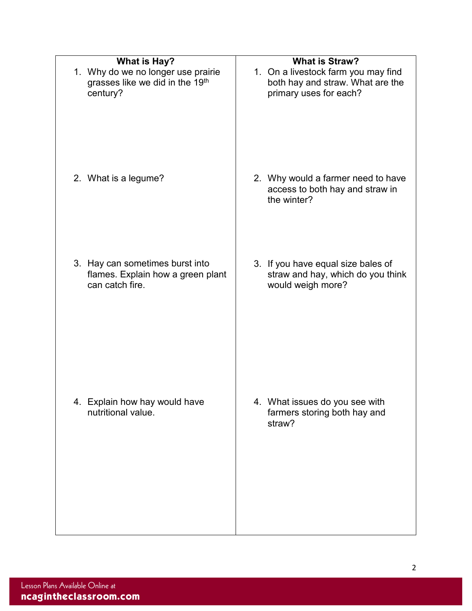| <b>What is Hay?</b><br>1. Why do we no longer use prairie<br>grasses like we did in the 19th<br>century? | <b>What is Straw?</b><br>1. On a livestock farm you may find<br>both hay and straw. What are the<br>primary uses for each? |
|----------------------------------------------------------------------------------------------------------|----------------------------------------------------------------------------------------------------------------------------|
| 2. What is a legume?                                                                                     | 2. Why would a farmer need to have<br>access to both hay and straw in<br>the winter?                                       |
| 3. Hay can sometimes burst into<br>flames. Explain how a green plant<br>can catch fire.                  | 3. If you have equal size bales of<br>straw and hay, which do you think<br>would weigh more?                               |
| 4. Explain how hay would have<br>nutritional value.                                                      | 4. What issues do you see with<br>farmers storing both hay and<br>straw?                                                   |